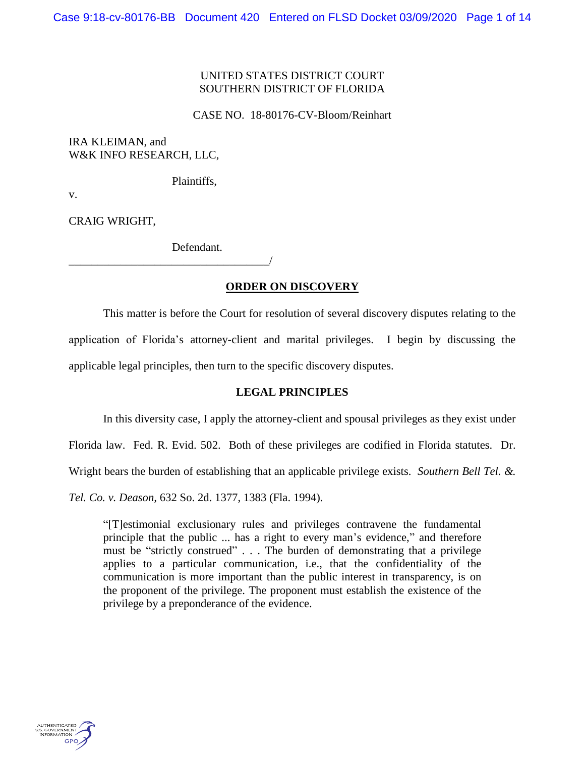# UNITED STATES DISTRICT COURT SOUTHERN DISTRICT OF FLORIDA

### CASE NO. 18-80176-CV-Bloom/Reinhart

IRA KLEIMAN, and W&K INFO RESEARCH, LLC,

Plaintiffs,

v.

CRAIG WRIGHT,

Defendant.

\_\_\_\_\_\_\_\_\_\_\_\_\_\_\_\_\_\_\_\_\_\_\_\_\_\_\_\_\_\_\_\_\_\_\_/

# **ORDER ON DISCOVERY**

This matter is before the Court for resolution of several discovery disputes relating to the application of Florida's attorney-client and marital privileges. I begin by discussing the applicable legal principles, then turn to the specific discovery disputes.

# **LEGAL PRINCIPLES**

In this diversity case, I apply the attorney-client and spousal privileges as they exist under

Florida law. Fed. R. Evid. 502. Both of these privileges are codified in Florida statutes. Dr.

Wright bears the burden of establishing that an applicable privilege exists. *Southern Bell Tel. &.* 

*Tel. Co. v. Deason,* 632 So. 2d. 1377, 1383 (Fla. 1994).

"[T]estimonial exclusionary rules and privileges contravene the fundamental principle that the public ... has a right to every man's evidence," and therefore must be "strictly construed" . . . The burden of demonstrating that a privilege applies to a particular communication, i.e., that the confidentiality of the communication is more important than the public interest in transparency, is on the proponent of the privilege. The proponent must establish the existence of the privilege by a preponderance of the evidence.

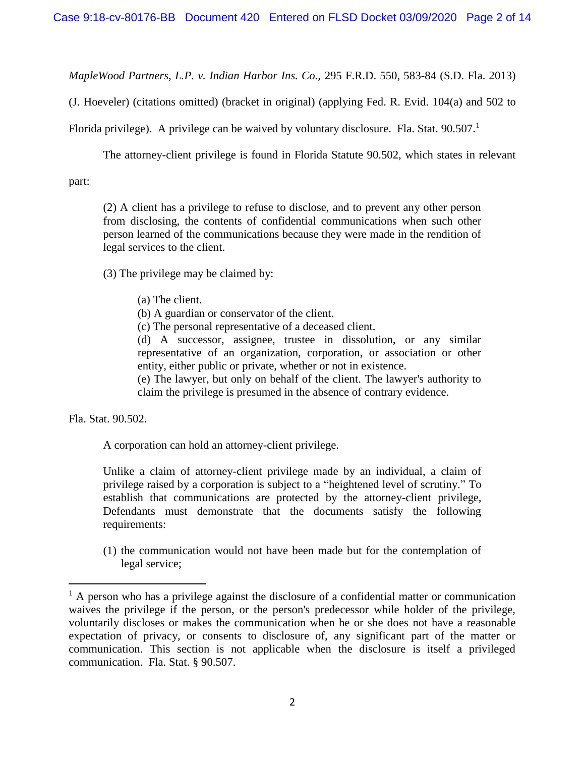*MapleWood Partners, L.P. v. Indian Harbor Ins. Co.,* 295 F.R.D. 550, 583-84 (S.D. Fla. 2013)

(J. Hoeveler) (citations omitted) (bracket in original) (applying Fed. R. Evid. 104(a) and 502 to

Florida privilege). A privilege can be waived by voluntary disclosure. Fla. Stat.  $90.507<sup>1</sup>$ 

The attorney-client privilege is found in Florida Statute 90.502, which states in relevant

part:

(2) A client has a privilege to refuse to disclose, and to prevent any other person from disclosing, the contents of confidential communications when such other person learned of the communications because they were made in the rendition of legal services to the client.

(3) The privilege may be claimed by:

(a) The client.

(b) A guardian or conservator of the client.

(c) The personal representative of a deceased client.

(d) A successor, assignee, trustee in dissolution, or any similar representative of an organization, corporation, or association or other entity, either public or private, whether or not in existence.

(e) The lawyer, but only on behalf of the client. The lawyer's authority to claim the privilege is presumed in the absence of contrary evidence.

Fla. Stat. 90.502.

 $\overline{a}$ 

A corporation can hold an attorney-client privilege.

Unlike a claim of attorney-client privilege made by an individual, a claim of privilege raised by a corporation is subject to a "heightened level of scrutiny." To establish that communications are protected by the attorney-client privilege, Defendants must demonstrate that the documents satisfy the following requirements:

(1) the communication would not have been made but for the contemplation of legal service;

 $<sup>1</sup>$  A person who has a privilege against the disclosure of a confidential matter or communication</sup> waives the privilege if the person, or the person's predecessor while holder of the privilege, voluntarily discloses or makes the communication when he or she does not have a reasonable expectation of privacy, or consents to disclosure of, any significant part of the matter or communication. This section is not applicable when the disclosure is itself a privileged communication. Fla. Stat. § 90.507.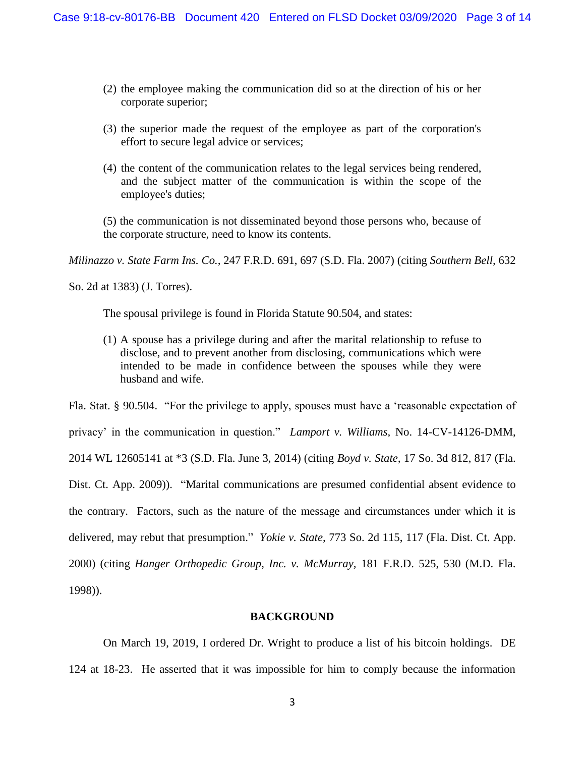- (2) the employee making the communication did so at the direction of his or her corporate superior;
- (3) the superior made the request of the employee as part of the corporation's effort to secure legal advice or services;
- (4) the content of the communication relates to the legal services being rendered, and the subject matter of the communication is within the scope of the employee's duties;

(5) the communication is not disseminated beyond those persons who, because of the corporate structure, need to know its contents.

*Milinazzo v. State Farm Ins. Co.,* 247 F.R.D. 691, 697 (S.D. Fla. 2007) (citing *Southern Bell,* 632

So. 2d at 1383) (J. Torres).

The spousal privilege is found in Florida Statute 90.504, and states:

(1) A spouse has a privilege during and after the marital relationship to refuse to disclose, and to prevent another from disclosing, communications which were intended to be made in confidence between the spouses while they were husband and wife.

Fla. Stat. § 90.504. "For the privilege to apply, spouses must have a 'reasonable expectation of privacy' in the communication in question." *Lamport v. Williams,* No. 14-CV-14126-DMM, 2014 WL 12605141 at \*3 (S.D. Fla. June 3, 2014) (citing *Boyd v. State,* 17 So. 3d 812, 817 (Fla. Dist. Ct. App. 2009)). "Marital communications are presumed confidential absent evidence to the contrary. Factors, such as the nature of the message and circumstances under which it is delivered, may rebut that presumption." *Yokie v. State,* 773 So. 2d 115, 117 (Fla. Dist. Ct. App. 2000) (citing *Hanger Orthopedic Group, Inc. v. McMurray,* 181 F.R.D. 525, 530 (M.D. Fla. 1998)).

#### **BACKGROUND**

On March 19, 2019, I ordered Dr. Wright to produce a list of his bitcoin holdings. DE 124 at 18-23. He asserted that it was impossible for him to comply because the information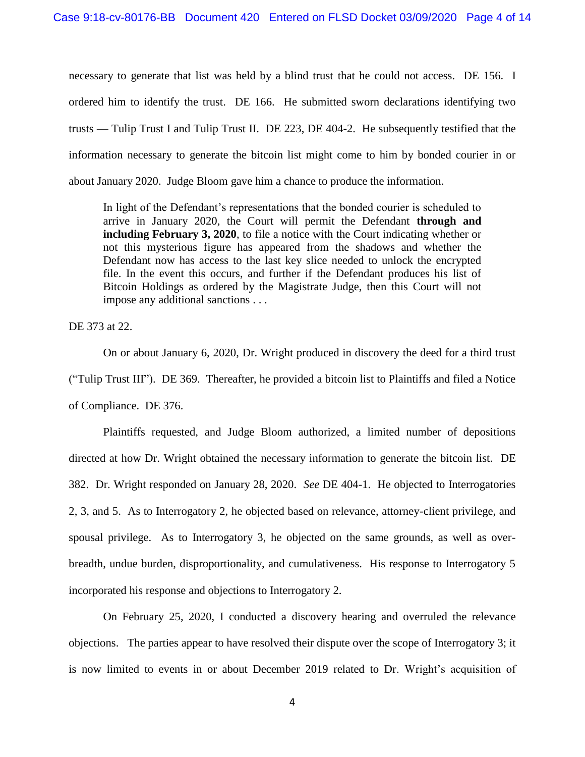necessary to generate that list was held by a blind trust that he could not access. DE 156. I ordered him to identify the trust. DE 166. He submitted sworn declarations identifying two trusts — Tulip Trust I and Tulip Trust II. DE 223, DE 404-2. He subsequently testified that the information necessary to generate the bitcoin list might come to him by bonded courier in or about January 2020. Judge Bloom gave him a chance to produce the information.

In light of the Defendant's representations that the bonded courier is scheduled to arrive in January 2020, the Court will permit the Defendant **through and including February 3, 2020**, to file a notice with the Court indicating whether or not this mysterious figure has appeared from the shadows and whether the Defendant now has access to the last key slice needed to unlock the encrypted file. In the event this occurs, and further if the Defendant produces his list of Bitcoin Holdings as ordered by the Magistrate Judge, then this Court will not impose any additional sanctions . . .

DE 373 at 22.

On or about January 6, 2020, Dr. Wright produced in discovery the deed for a third trust ("Tulip Trust III"). DE 369. Thereafter, he provided a bitcoin list to Plaintiffs and filed a Notice of Compliance. DE 376.

Plaintiffs requested, and Judge Bloom authorized, a limited number of depositions directed at how Dr. Wright obtained the necessary information to generate the bitcoin list. DE 382. Dr. Wright responded on January 28, 2020. *See* DE 404-1. He objected to Interrogatories 2, 3, and 5. As to Interrogatory 2, he objected based on relevance, attorney-client privilege, and spousal privilege. As to Interrogatory 3, he objected on the same grounds, as well as overbreadth, undue burden, disproportionality, and cumulativeness. His response to Interrogatory 5 incorporated his response and objections to Interrogatory 2.

On February 25, 2020, I conducted a discovery hearing and overruled the relevance objections. The parties appear to have resolved their dispute over the scope of Interrogatory 3; it is now limited to events in or about December 2019 related to Dr. Wright's acquisition of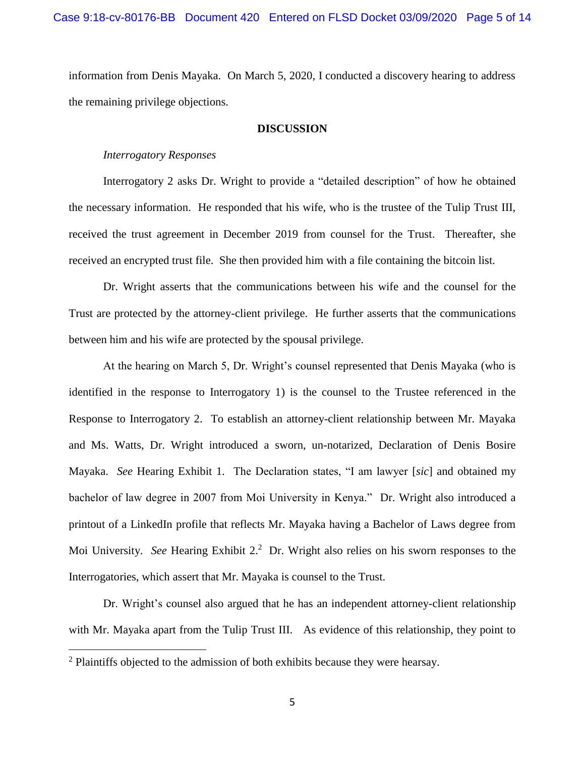information from Denis Mayaka. On March 5, 2020, I conducted a discovery hearing to address the remaining privilege objections.

### **DISCUSSION**

# *Interrogatory Responses*

Interrogatory 2 asks Dr. Wright to provide a "detailed description" of how he obtained the necessary information. He responded that his wife, who is the trustee of the Tulip Trust III, received the trust agreement in December 2019 from counsel for the Trust. Thereafter, she received an encrypted trust file. She then provided him with a file containing the bitcoin list.

Dr. Wright asserts that the communications between his wife and the counsel for the Trust are protected by the attorney-client privilege. He further asserts that the communications between him and his wife are protected by the spousal privilege.

At the hearing on March 5, Dr. Wright's counsel represented that Denis Mayaka (who is identified in the response to Interrogatory 1) is the counsel to the Trustee referenced in the Response to Interrogatory 2. To establish an attorney-client relationship between Mr. Mayaka and Ms. Watts, Dr. Wright introduced a sworn, un-notarized, Declaration of Denis Bosire Mayaka. *See* Hearing Exhibit 1. The Declaration states, "I am lawyer [*sic*] and obtained my bachelor of law degree in 2007 from Moi University in Kenya." Dr. Wright also introduced a printout of a LinkedIn profile that reflects Mr. Mayaka having a Bachelor of Laws degree from Moi University. *See* Hearing Exhibit 2.<sup>2</sup> Dr. Wright also relies on his sworn responses to the Interrogatories, which assert that Mr. Mayaka is counsel to the Trust.

Dr. Wright's counsel also argued that he has an independent attorney-client relationship with Mr. Mayaka apart from the Tulip Trust III. As evidence of this relationship, they point to

<sup>&</sup>lt;sup>2</sup> Plaintiffs objected to the admission of both exhibits because they were hearsay.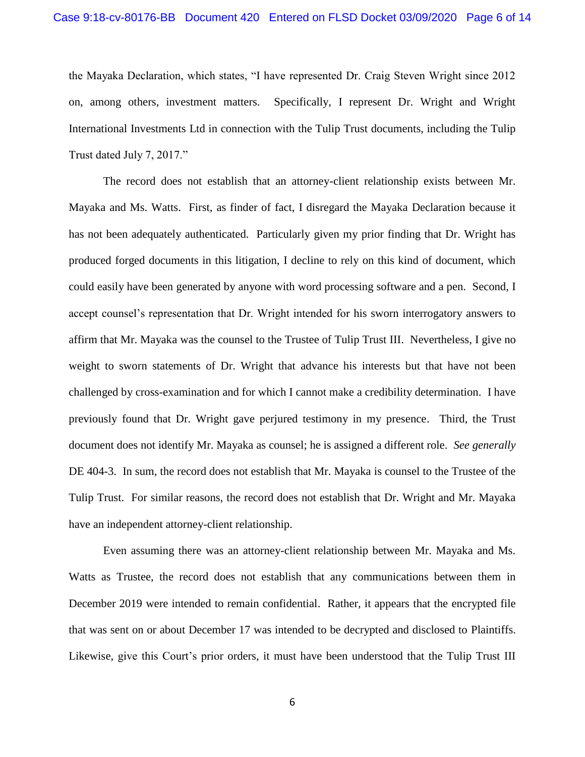the Mayaka Declaration, which states, "I have represented Dr. Craig Steven Wright since 2012 on, among others, investment matters. Specifically, I represent Dr. Wright and Wright International Investments Ltd in connection with the Tulip Trust documents, including the Tulip Trust dated July 7, 2017."

The record does not establish that an attorney-client relationship exists between Mr. Mayaka and Ms. Watts. First, as finder of fact, I disregard the Mayaka Declaration because it has not been adequately authenticated. Particularly given my prior finding that Dr. Wright has produced forged documents in this litigation, I decline to rely on this kind of document, which could easily have been generated by anyone with word processing software and a pen. Second, I accept counsel's representation that Dr. Wright intended for his sworn interrogatory answers to affirm that Mr. Mayaka was the counsel to the Trustee of Tulip Trust III. Nevertheless, I give no weight to sworn statements of Dr. Wright that advance his interests but that have not been challenged by cross-examination and for which I cannot make a credibility determination. I have previously found that Dr. Wright gave perjured testimony in my presence. Third, the Trust document does not identify Mr. Mayaka as counsel; he is assigned a different role. *See generally*  DE 404-3. In sum, the record does not establish that Mr. Mayaka is counsel to the Trustee of the Tulip Trust. For similar reasons, the record does not establish that Dr. Wright and Mr. Mayaka have an independent attorney-client relationship.

Even assuming there was an attorney-client relationship between Mr. Mayaka and Ms. Watts as Trustee, the record does not establish that any communications between them in December 2019 were intended to remain confidential. Rather, it appears that the encrypted file that was sent on or about December 17 was intended to be decrypted and disclosed to Plaintiffs. Likewise, give this Court's prior orders, it must have been understood that the Tulip Trust III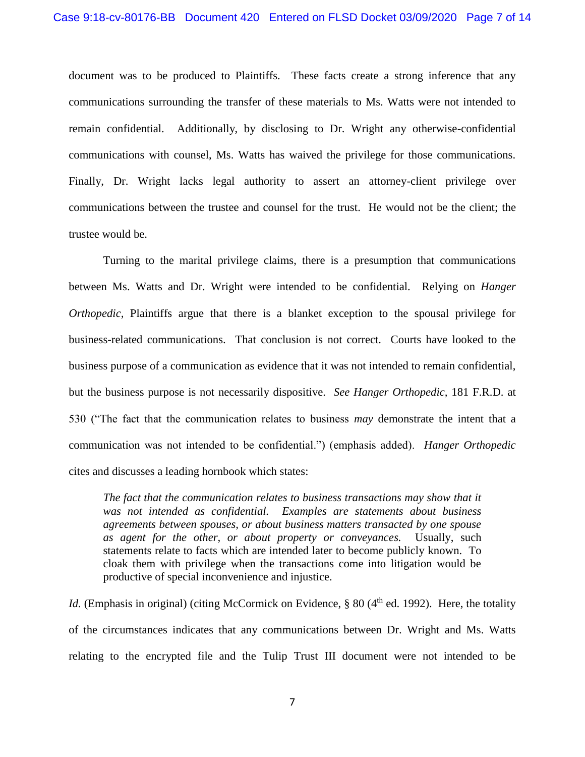document was to be produced to Plaintiffs. These facts create a strong inference that any communications surrounding the transfer of these materials to Ms. Watts were not intended to remain confidential. Additionally, by disclosing to Dr. Wright any otherwise-confidential communications with counsel, Ms. Watts has waived the privilege for those communications. Finally, Dr. Wright lacks legal authority to assert an attorney-client privilege over communications between the trustee and counsel for the trust. He would not be the client; the trustee would be.

Turning to the marital privilege claims, there is a presumption that communications between Ms. Watts and Dr. Wright were intended to be confidential. Relying on *Hanger Orthopedic*, Plaintiffs argue that there is a blanket exception to the spousal privilege for business-related communications. That conclusion is not correct. Courts have looked to the business purpose of a communication as evidence that it was not intended to remain confidential, but the business purpose is not necessarily dispositive. *See Hanger Orthopedic,* 181 F.R.D. at 530 ("The fact that the communication relates to business *may* demonstrate the intent that a communication was not intended to be confidential.") (emphasis added). *Hanger Orthopedic*  cites and discusses a leading hornbook which states:

*The fact that the communication relates to business transactions may show that it was not intended as confidential. Examples are statements about business agreements between spouses, or about business matters transacted by one spouse as agent for the other, or about property or conveyances.* Usually, such statements relate to facts which are intended later to become publicly known. To cloak them with privilege when the transactions come into litigation would be productive of special inconvenience and injustice.

*Id.* (Emphasis in original) (citing McCormick on Evidence, § 80 (4<sup>th</sup> ed. 1992). Here, the totality of the circumstances indicates that any communications between Dr. Wright and Ms. Watts relating to the encrypted file and the Tulip Trust III document were not intended to be

7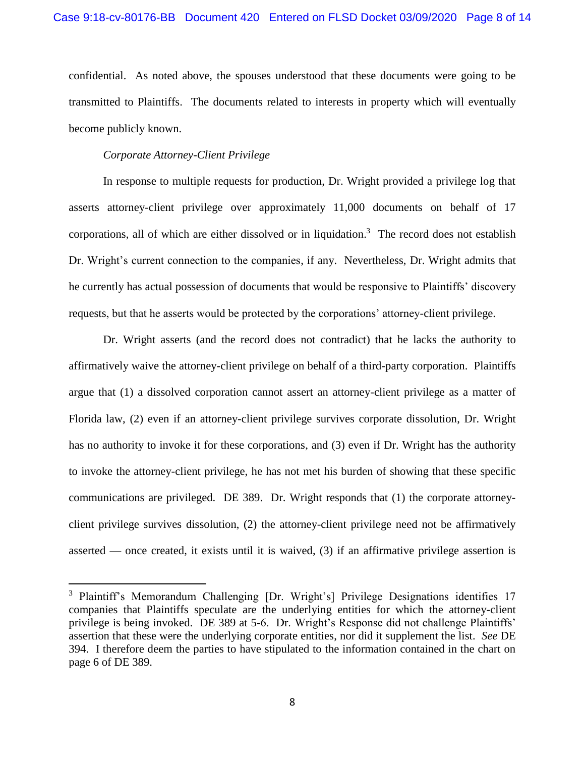confidential. As noted above, the spouses understood that these documents were going to be transmitted to Plaintiffs. The documents related to interests in property which will eventually become publicly known.

## *Corporate Attorney-Client Privilege*

 $\overline{a}$ 

In response to multiple requests for production, Dr. Wright provided a privilege log that asserts attorney-client privilege over approximately 11,000 documents on behalf of 17 corporations, all of which are either dissolved or in liquidation.<sup>3</sup> The record does not establish Dr. Wright's current connection to the companies, if any. Nevertheless, Dr. Wright admits that he currently has actual possession of documents that would be responsive to Plaintiffs' discovery requests, but that he asserts would be protected by the corporations' attorney-client privilege.

Dr. Wright asserts (and the record does not contradict) that he lacks the authority to affirmatively waive the attorney-client privilege on behalf of a third-party corporation. Plaintiffs argue that (1) a dissolved corporation cannot assert an attorney-client privilege as a matter of Florida law, (2) even if an attorney-client privilege survives corporate dissolution, Dr. Wright has no authority to invoke it for these corporations, and (3) even if Dr. Wright has the authority to invoke the attorney-client privilege, he has not met his burden of showing that these specific communications are privileged. DE 389. Dr. Wright responds that (1) the corporate attorneyclient privilege survives dissolution, (2) the attorney-client privilege need not be affirmatively asserted — once created, it exists until it is waived, (3) if an affirmative privilege assertion is

<sup>3</sup> Plaintiff's Memorandum Challenging [Dr. Wright's] Privilege Designations identifies 17 companies that Plaintiffs speculate are the underlying entities for which the attorney-client privilege is being invoked. DE 389 at 5-6. Dr. Wright's Response did not challenge Plaintiffs' assertion that these were the underlying corporate entities, nor did it supplement the list. *See* DE 394. I therefore deem the parties to have stipulated to the information contained in the chart on page 6 of DE 389.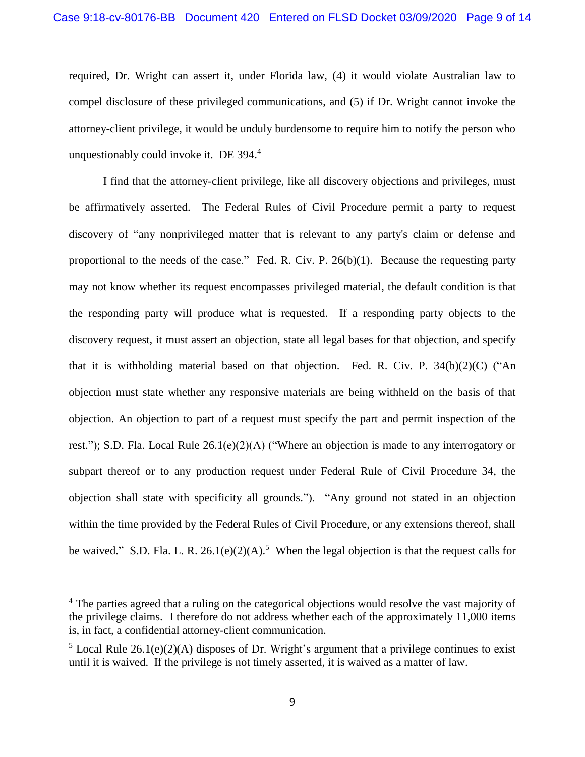required, Dr. Wright can assert it, under Florida law, (4) it would violate Australian law to compel disclosure of these privileged communications, and (5) if Dr. Wright cannot invoke the attorney-client privilege, it would be unduly burdensome to require him to notify the person who unquestionably could invoke it. DE  $394<sup>4</sup>$ 

I find that the attorney-client privilege, like all discovery objections and privileges, must be affirmatively asserted. The Federal Rules of Civil Procedure permit a party to request discovery of "any nonprivileged matter that is relevant to any party's claim or defense and proportional to the needs of the case." Fed. R. Civ. P. 26(b)(1). Because the requesting party may not know whether its request encompasses privileged material, the default condition is that the responding party will produce what is requested. If a responding party objects to the discovery request, it must assert an objection, state all legal bases for that objection, and specify that it is withholding material based on that objection. Fed. R. Civ. P.  $34(b)(2)(C)$  ("An objection must state whether any responsive materials are being withheld on the basis of that objection. An objection to part of a request must specify the part and permit inspection of the rest."); S.D. Fla. Local Rule 26.1(e)(2)(A) ("Where an objection is made to any interrogatory or subpart thereof or to any production request under Federal Rule of Civil Procedure 34, the objection shall state with specificity all grounds."). "Any ground not stated in an objection within the time provided by the Federal Rules of Civil Procedure, or any extensions thereof, shall be waived." S.D. Fla. L. R.  $26.1(e)(2)(A)$ .<sup>5</sup> When the legal objection is that the request calls for

<sup>&</sup>lt;sup>4</sup> The parties agreed that a ruling on the categorical objections would resolve the vast majority of the privilege claims. I therefore do not address whether each of the approximately 11,000 items is, in fact, a confidential attorney-client communication.

 $5$  Local Rule 26.1(e)(2)(A) disposes of Dr. Wright's argument that a privilege continues to exist until it is waived. If the privilege is not timely asserted, it is waived as a matter of law.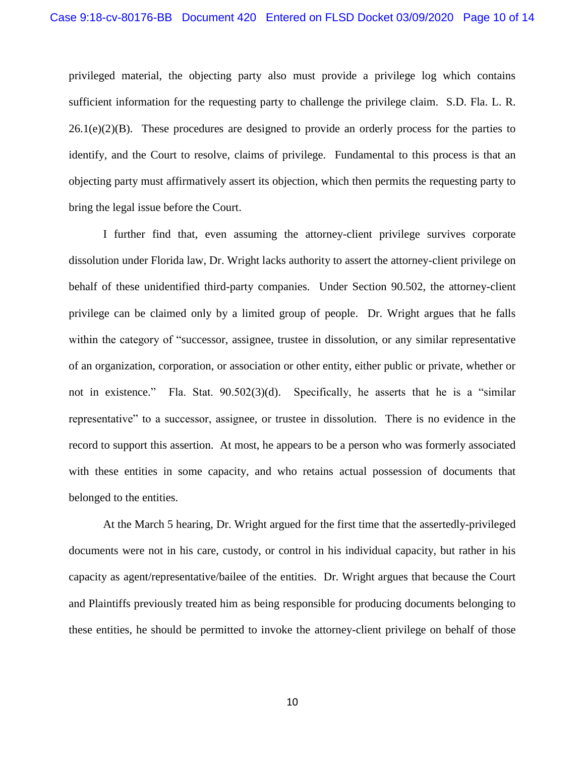privileged material, the objecting party also must provide a privilege log which contains sufficient information for the requesting party to challenge the privilege claim. S.D. Fla. L. R.  $26.1(e)(2)(B)$ . These procedures are designed to provide an orderly process for the parties to identify, and the Court to resolve, claims of privilege. Fundamental to this process is that an objecting party must affirmatively assert its objection, which then permits the requesting party to bring the legal issue before the Court.

I further find that, even assuming the attorney-client privilege survives corporate dissolution under Florida law, Dr. Wright lacks authority to assert the attorney-client privilege on behalf of these unidentified third-party companies. Under Section 90.502, the attorney-client privilege can be claimed only by a limited group of people. Dr. Wright argues that he falls within the category of "successor, assignee, trustee in dissolution, or any similar representative of an organization, corporation, or association or other entity, either public or private, whether or not in existence." Fla. Stat. 90.502(3)(d). Specifically, he asserts that he is a "similar representative" to a successor, assignee, or trustee in dissolution. There is no evidence in the record to support this assertion. At most, he appears to be a person who was formerly associated with these entities in some capacity, and who retains actual possession of documents that belonged to the entities.

At the March 5 hearing, Dr. Wright argued for the first time that the assertedly-privileged documents were not in his care, custody, or control in his individual capacity, but rather in his capacity as agent/representative/bailee of the entities. Dr. Wright argues that because the Court and Plaintiffs previously treated him as being responsible for producing documents belonging to these entities, he should be permitted to invoke the attorney-client privilege on behalf of those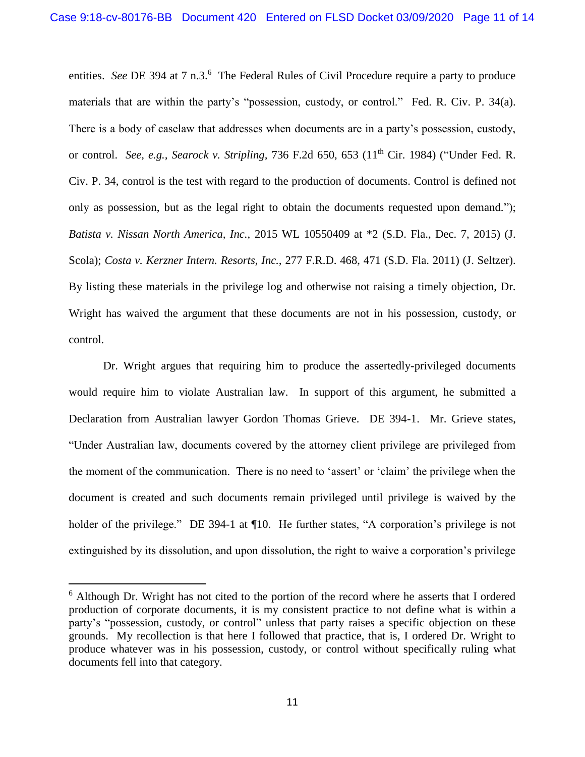entities. See DE 394 at 7 n.3.<sup>6</sup> The Federal Rules of Civil Procedure require a party to produce materials that are within the party's "possession, custody, or control." Fed. R. Civ. P. 34(a). There is a body of caselaw that addresses when documents are in a party's possession, custody, or control. *See, e.g., Searock v. Stripling,* 736 F.2d 650, 653 (11th Cir. 1984) ("Under Fed. R. Civ. P. 34, control is the test with regard to the production of documents. Control is defined not only as possession, but as the legal right to obtain the documents requested upon demand."); *Batista v. Nissan North America, Inc.,* 2015 WL 10550409 at \*2 (S.D. Fla., Dec. 7, 2015) (J. Scola); *Costa v. Kerzner Intern. Resorts, Inc.,* 277 F.R.D. 468, 471 (S.D. Fla. 2011) (J. Seltzer). By listing these materials in the privilege log and otherwise not raising a timely objection, Dr. Wright has waived the argument that these documents are not in his possession, custody, or control.

Dr. Wright argues that requiring him to produce the assertedly-privileged documents would require him to violate Australian law. In support of this argument, he submitted a Declaration from Australian lawyer Gordon Thomas Grieve. DE 394-1. Mr. Grieve states, "Under Australian law, documents covered by the attorney client privilege are privileged from the moment of the communication. There is no need to 'assert' or 'claim' the privilege when the document is created and such documents remain privileged until privilege is waived by the holder of the privilege." DE 394-1 at ¶10. He further states, "A corporation's privilege is not extinguished by its dissolution, and upon dissolution, the right to waive a corporation's privilege

<sup>6</sup> Although Dr. Wright has not cited to the portion of the record where he asserts that I ordered production of corporate documents, it is my consistent practice to not define what is within a party's "possession, custody, or control" unless that party raises a specific objection on these grounds. My recollection is that here I followed that practice, that is, I ordered Dr. Wright to produce whatever was in his possession, custody, or control without specifically ruling what documents fell into that category.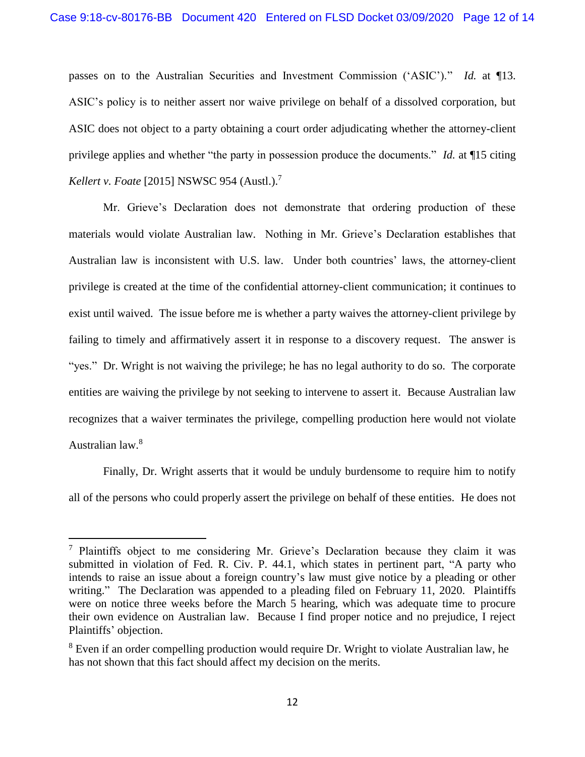passes on to the Australian Securities and Investment Commission ('ASIC')." *Id.* at ¶13. ASIC's policy is to neither assert nor waive privilege on behalf of a dissolved corporation, but ASIC does not object to a party obtaining a court order adjudicating whether the attorney-client privilege applies and whether "the party in possession produce the documents." *Id.* at ¶15 citing *Kellert v. Foate* [2015] NSWSC 954 (Austl.). 7

Mr. Grieve's Declaration does not demonstrate that ordering production of these materials would violate Australian law. Nothing in Mr. Grieve's Declaration establishes that Australian law is inconsistent with U.S. law. Under both countries' laws, the attorney-client privilege is created at the time of the confidential attorney-client communication; it continues to exist until waived. The issue before me is whether a party waives the attorney-client privilege by failing to timely and affirmatively assert it in response to a discovery request. The answer is "yes." Dr. Wright is not waiving the privilege; he has no legal authority to do so. The corporate entities are waiving the privilege by not seeking to intervene to assert it. Because Australian law recognizes that a waiver terminates the privilege, compelling production here would not violate Australian law.<sup>8</sup>

Finally, Dr. Wright asserts that it would be unduly burdensome to require him to notify all of the persons who could properly assert the privilege on behalf of these entities. He does not

<sup>7</sup> Plaintiffs object to me considering Mr. Grieve's Declaration because they claim it was submitted in violation of Fed. R. Civ. P. 44.1, which states in pertinent part, "A party who intends to raise an issue about a foreign country's law must give notice by a pleading or other writing." The Declaration was appended to a pleading filed on February 11, 2020. Plaintiffs were on notice three weeks before the March 5 hearing, which was adequate time to procure their own evidence on Australian law. Because I find proper notice and no prejudice, I reject Plaintiffs' objection.

<sup>&</sup>lt;sup>8</sup> Even if an order compelling production would require Dr. Wright to violate Australian law, he has not shown that this fact should affect my decision on the merits.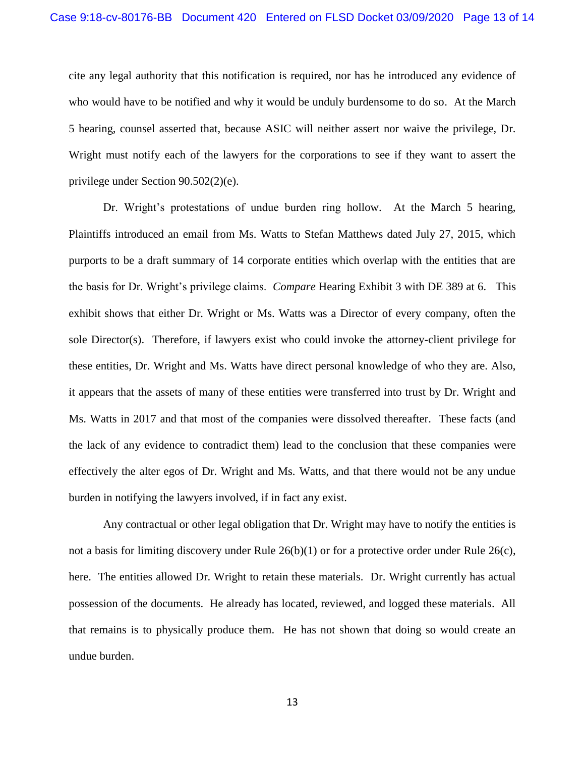cite any legal authority that this notification is required, nor has he introduced any evidence of who would have to be notified and why it would be unduly burdensome to do so. At the March 5 hearing, counsel asserted that, because ASIC will neither assert nor waive the privilege, Dr. Wright must notify each of the lawyers for the corporations to see if they want to assert the privilege under Section 90.502(2)(e).

Dr. Wright's protestations of undue burden ring hollow. At the March 5 hearing, Plaintiffs introduced an email from Ms. Watts to Stefan Matthews dated July 27, 2015, which purports to be a draft summary of 14 corporate entities which overlap with the entities that are the basis for Dr. Wright's privilege claims. *Compare* Hearing Exhibit 3 with DE 389 at 6. This exhibit shows that either Dr. Wright or Ms. Watts was a Director of every company, often the sole Director(s). Therefore, if lawyers exist who could invoke the attorney-client privilege for these entities, Dr. Wright and Ms. Watts have direct personal knowledge of who they are. Also, it appears that the assets of many of these entities were transferred into trust by Dr. Wright and Ms. Watts in 2017 and that most of the companies were dissolved thereafter. These facts (and the lack of any evidence to contradict them) lead to the conclusion that these companies were effectively the alter egos of Dr. Wright and Ms. Watts, and that there would not be any undue burden in notifying the lawyers involved, if in fact any exist.

Any contractual or other legal obligation that Dr. Wright may have to notify the entities is not a basis for limiting discovery under Rule  $26(b)(1)$  or for a protective order under Rule  $26(c)$ , here. The entities allowed Dr. Wright to retain these materials. Dr. Wright currently has actual possession of the documents. He already has located, reviewed, and logged these materials. All that remains is to physically produce them. He has not shown that doing so would create an undue burden.